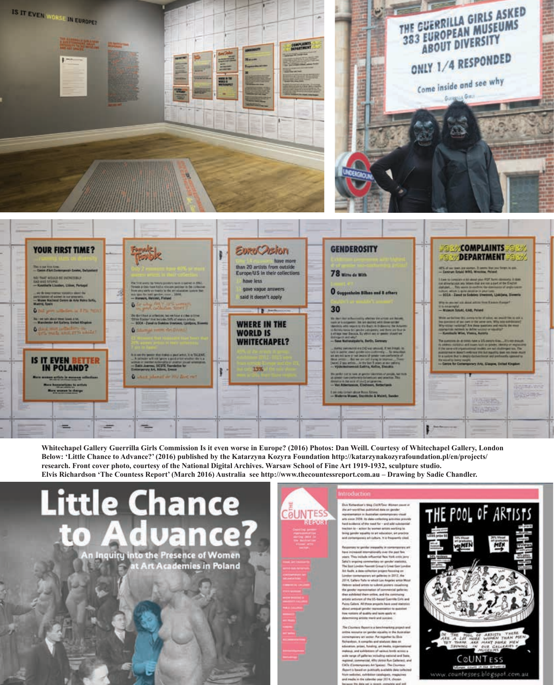

**Whitechapel Gallery Guerrilla Girls Commission Is it even worse in Europe? (2016) Photos: Dan Weill. Courtesy of Whitechapel Gallery, London Below: 'Little Chance to Advance?' (2016) published by the Katarzyna Kozyra Foundation http://katarzynakozyrafoundation.pl/en/projects/ research. Front cover photo, courtesy of the National Digital Archives. Warsaw School of Fine Art 1919-1932, sculpture studio. Elvis Richardson 'The Countess Report' (March 2016) Australia see http://www.thecountessreport.com.au – Drawing by Sadie Chandler.**

w

**Little Chance** vance? 71

An Inquiry into the Presence of Women **Art Academies in Poland** 

COUNTESS

REPORT

 $\begin{minipage}{0.9\textwidth} \begin{tabular}{l} \textbf{Der} & \textbf{Interference} \\ \textbf{Der} & \textbf{Interference} \\ \textbf{Der} & \textbf{Set} - \textbf{over} \\ \textbf{Per} & \textbf{Set} \\ \textbf{Per} & \textbf{Set} \\ \textbf{Per} & \textbf{Set} \\ \textbf{Per} & \textbf{Set} \\ \textbf{Per} & \textbf{Set} \\ \textbf{Per} & \textbf{Set} \\ \textbf{Per} & \textbf{Set} \\ \textbf{Per} & \textbf{Set} \\ \textbf{Per} & \textbf{Set} \\ \textbf{Per} & \textbf{Set} \\ \textbf{Per} &$ bring genetic woughts to art education, art practic temporais art culture. It is frequently cited

as to prive remain it is from our case and consider the contract of the state<br>from the state of the state  $\mathcal{H}$  and the state<br>from the state of the state of the state of the state of the state<br>from the state of the state of the state of the st Protes Gallery, All three property have used therein<br>about annually probe regrammation by materials<br>they extens of quality and term series or<br>describing around and automatic

Nether may Report to a Send The Construction of paradoxa Vol. 2010, the Australian production of the Schwarzkin and Schwarzkin and Schwarzkin and Schwarzkin and Schwarzkin and Schwarzkin and Schwarzkin and Schwarzkin and Schwarzkin and Schwarzkin an regional: commercial, Altri Univo Run Gallerier).<br>CAOs (Contemporary Art Spoins). The Churtmas<br>Algorit is based on publicable available data collec fricm welcoler), exhibition canalogues, magaz and media in the salesties year 2014, ch

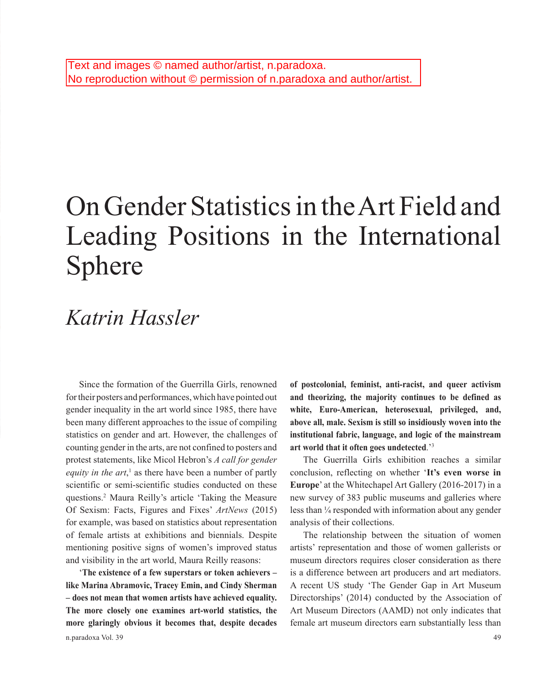## On Gender Statistics in the Art Field and Leading Positions in the International Sphere

## *Katrin Hassler*

Since the formation of the Guerrilla Girls, renowned for their posters and performances, which have pointed out gender inequality in the art world since 1985, there have been many different approaches to the issue of compiling statistics on gender and art. However, the challenges of counting gender in the arts, are not confined to posters and protest statements, like Micol Hebron's *A call for gender*  equity in the art,<sup>1</sup> as there have been a number of partly scientific or semi-scientific studies conducted on these questions.2 Maura Reilly's article 'Taking the Measure Of Sexism: Facts, Figures and Fixes' *ArtNews* (2015) for example, was based on statistics about representation of female artists at exhibitions and biennials. Despite mentioning positive signs of women's improved status and visibility in the art world, Maura Reilly reasons:

'**The existence of a few superstars or token achievers – like Marina Abramovic, Tracey Emin, and Cindy Sherman – does not mean that women artists have achieved equality. The more closely one examines art-world statistics, the more glaringly obvious it becomes that, despite decades**  **of postcolonial, feminist, anti-racist, and queer activism and theorizing, the majority continues to be defined as white, Euro-American, heterosexual, privileged, and, above all, male. Sexism is still so insidiously woven into the institutional fabric, language, and logic of the mainstream art world that it often goes undetected**.' 3

The Guerrilla Girls exhibition reaches a similar conclusion, reflecting on whether '**It's even worse in Europe**' at the Whitechapel Art Gallery (2016-2017) in a new survey of 383 public museums and galleries where less than ¼ responded with information about any gender analysis of their collections.

The relationship between the situation of women artists' representation and those of women gallerists or museum directors requires closer consideration as there is a difference between art producers and art mediators. A recent US study 'The Gender Gap in Art Museum Directorships' (2014) conducted by the Association of Art Museum Directors (AAMD) not only indicates that female art museum directors earn substantially less than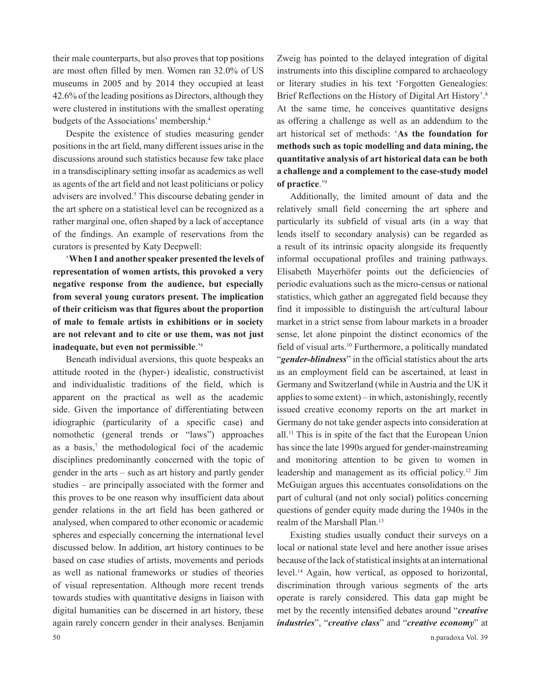their male counterparts, but also proves that top positions are most often filled by men. Women ran 32.0% of US museums in 2005 and by 2014 they occupied at least 42.6% of the leading positions as Directors, although they were clustered in institutions with the smallest operating budgets of the Associations' membership.4

Despite the existence of studies measuring gender positions in the art field, many different issues arise in the discussions around such statistics because few take place in a transdisciplinary setting insofar as academics as well as agents of the art field and not least politicians or policy advisers are involved.<sup>5</sup> This discourse debating gender in the art sphere on a statistical level can be recognized as a rather marginal one, often shaped by a lack of acceptance of the findings. An example of reservations from the curators is presented by Katy Deepwell:

'**When I and another speaker presented the levels of representation of women artists, this provoked a very negative response from the audience, but especially from several young curators present. The implication of their criticism was that figures about the proportion of male to female artists in exhibitions or in society are not relevant and to cite or use them, was not just inadequate, but even not permissible**.'6

Beneath individual aversions, this quote bespeaks an attitude rooted in the (hyper-) idealistic, constructivist and individualistic traditions of the field, which is apparent on the practical as well as the academic side. Given the importance of differentiating between idiographic (particularity of a specific case) and nomothetic (general trends or "laws") approaches as a basis, $\bar{y}$  the methodological foci of the academic disciplines predominantly concerned with the topic of gender in the arts – such as art history and partly gender studies – are principally associated with the former and this proves to be one reason why insufficient data about gender relations in the art field has been gathered or analysed, when compared to other economic or academic spheres and especially concerning the international level discussed below. In addition, art history continues to be based on case studies of artists, movements and periods as well as national frameworks or studies of theories of visual representation. Although more recent trends towards studies with quantitative designs in liaison with digital humanities can be discerned in art history, these again rarely concern gender in their analyses. Benjamin

Zweig has pointed to the delayed integration of digital instruments into this discipline compared to archaeology or literary studies in his text 'Forgotten Genealogies: Brief Reflections on the History of Digital Art History'.8 At the same time, he conceives quantitative designs as offering a challenge as well as an addendum to the art historical set of methods: '**As the foundation for methods such as topic modelling and data mining, the quantitative analysis of art historical data can be both a challenge and a complement to the case-study model of practice**.'9

Additionally, the limited amount of data and the relatively small field concerning the art sphere and particularly its subfield of visual arts (in a way that lends itself to secondary analysis) can be regarded as a result of its intrinsic opacity alongside its frequently informal occupational profiles and training pathways. Elisabeth Mayerhöfer points out the deficiencies of periodic evaluations such as the micro-census or national statistics, which gather an aggregated field because they find it impossible to distinguish the art/cultural labour market in a strict sense from labour markets in a broader sense, let alone pinpoint the distinct economics of the field of visual arts.10 Furthermore, a politically mandated "*gender-blindness*" in the official statistics about the arts as an employment field can be ascertained, at least in Germany and Switzerland (while in Austria and the UK it applies to some extent) – in which, astonishingly, recently issued creative economy reports on the art market in Germany do not take gender aspects into consideration at all.11 This is in spite of the fact that the European Union has since the late 1990s argued for gender-mainstreaming and monitoring attention to be given to women in leadership and management as its official policy.12 Jim McGuigan argues this accentuates consolidations on the part of cultural (and not only social) politics concerning questions of gender equity made during the 1940s in the realm of the Marshall Plan.<sup>13</sup>

Existing studies usually conduct their surveys on a local or national state level and here another issue arises because of the lack of statistical insights at an international level.14 Again, how vertical, as opposed to horizontal, discrimination through various segments of the arts operate is rarely considered. This data gap might be met by the recently intensified debates around "*creative industries*", "*creative class*" and "*creative economy*" at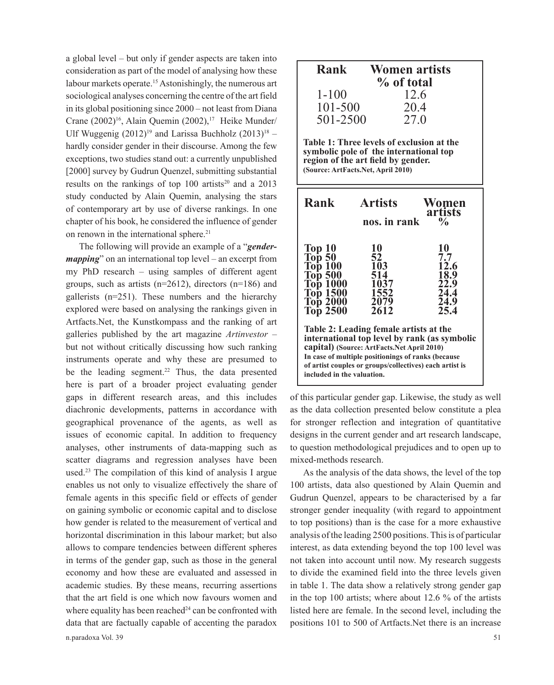a global level – but only if gender aspects are taken into consideration as part of the model of analysing how these labour markets operate.15 Astonishingly, the numerous art sociological analyses concerning the centre of the art field in its global positioning since 2000 – not least from Diana Crane  $(2002)^{16}$ , Alain Quemin  $(2002)^{17}$  Heike Munder/ Ulf Wuggenig  $(2012)^{19}$  and Larissa Buchholz  $(2013)^{18}$  – hardly consider gender in their discourse. Among the few exceptions, two studies stand out: a currently unpublished [2000] survey by Gudrun Quenzel, submitting substantial results on the rankings of top 100 artists<sup>20</sup> and a 2013 study conducted by Alain Quemin, analysing the stars of contemporary art by use of diverse rankings. In one chapter of his book, he considered the influence of gender on renown in the international sphere.<sup>21</sup>

n.paradoxa Vol. 39 51 The following will provide an example of a "*gendermapping*" on an international top level – an excerpt from my PhD research – using samples of different agent groups, such as artists (n=2612), directors (n=186) and gallerists (n=251). These numbers and the hierarchy explored were based on analysing the rankings given in Artfacts.Net, the Kunstkompass and the ranking of art galleries published by the art magazine *Artinvestor* – but not without critically discussing how such ranking instruments operate and why these are presumed to be the leading segment.<sup>22</sup> Thus, the data presented here is part of a broader project evaluating gender gaps in different research areas, and this includes diachronic developments, patterns in accordance with geographical provenance of the agents, as well as issues of economic capital. In addition to frequency analyses, other instruments of data-mapping such as scatter diagrams and regression analyses have been used.23 The compilation of this kind of analysis I argue enables us not only to visualize effectively the share of female agents in this specific field or effects of gender on gaining symbolic or economic capital and to disclose how gender is related to the measurement of vertical and horizontal discrimination in this labour market; but also allows to compare tendencies between different spheres in terms of the gender gap, such as those in the general economy and how these are evaluated and assessed in academic studies. By these means, recurring assertions that the art field is one which now favours women and where equality has been reached<sup>24</sup> can be confronted with data that are factually capable of accenting the paradox

| <b>Rank</b><br><b>Women artists</b><br>% of total<br>$1 - 100$<br>12.6<br>101-500<br>20.4<br>501-2500<br>27.0<br>Table 1: Three levels of exclusion at the<br>symbolic pole of the international top<br>region of the art field by gender.<br>(Source: ArtFacts.Net, April 2010)    |                                                               |                                                           |  |  |  |
|-------------------------------------------------------------------------------------------------------------------------------------------------------------------------------------------------------------------------------------------------------------------------------------|---------------------------------------------------------------|-----------------------------------------------------------|--|--|--|
| Rank<br><b>Artists</b><br>Women<br>artists<br>$\frac{0}{\alpha}$<br>nos. in rank                                                                                                                                                                                                    |                                                               |                                                           |  |  |  |
| $\text{Top }10$<br>Top 50<br>Тор 100<br>Тор 500<br><b>Тор 1000</b><br><b>Top 1500</b><br><b>Top 2000</b><br>Тор 2500                                                                                                                                                                | 10<br>52<br><b>103</b><br>514<br>1037<br>1552<br>2079<br>2612 | 10<br>7.7<br>12.6<br>18.9<br>22.9<br>24.4<br>24.9<br>25.4 |  |  |  |
| Table 2: Leading female artists at the<br>international top level by rank (as symbolic<br>capital) (Source: ArtFacts.Net April 2010)<br>In case of multiple positionings of ranks (because<br>of artist couples or groups/collectives) each artist is<br>included in the valuation. |                                                               |                                                           |  |  |  |

of this particular gender gap. Likewise, the study as well as the data collection presented below constitute a plea for stronger reflection and integration of quantitative designs in the current gender and art research landscape, to question methodological prejudices and to open up to mixed-methods research.

As the analysis of the data shows, the level of the top 100 artists, data also questioned by Alain Quemin and Gudrun Quenzel, appears to be characterised by a far stronger gender inequality (with regard to appointment to top positions) than is the case for a more exhaustive analysis of the leading 2500 positions. This is of particular interest, as data extending beyond the top 100 level was not taken into account until now. My research suggests to divide the examined field into the three levels given in table 1. The data show a relatively strong gender gap in the top 100 artists; where about 12.6 % of the artists listed here are female. In the second level, including the positions 101 to 500 of Artfacts.Net there is an increase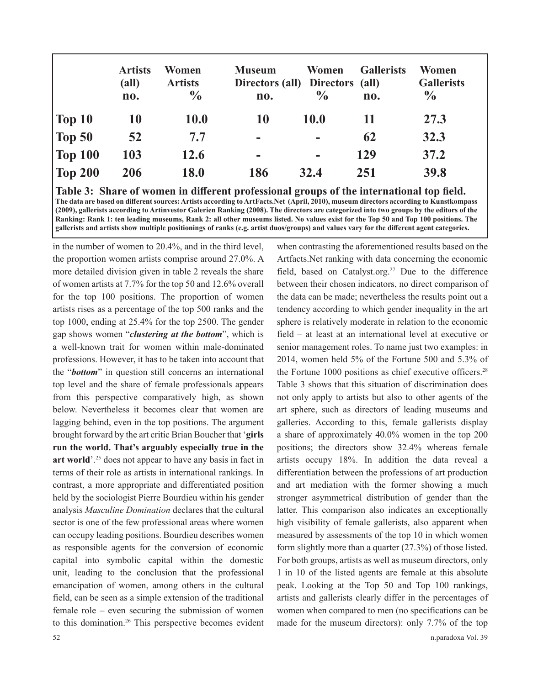|                   | <b>Artists</b><br>$\textbf{(all)}$<br>no. | Women<br><b>Artists</b><br>$\frac{6}{6}$ | <b>Museum</b><br>Directors (all) Directors (all)<br>no. | Women<br>$\frac{0}{0}$ | <b>Gallerists</b><br>no. | Women<br><b>Gallerists</b><br>$\frac{6}{9}$ |
|-------------------|-------------------------------------------|------------------------------------------|---------------------------------------------------------|------------------------|--------------------------|---------------------------------------------|
| $\vert$ Top 10    | <b>10</b>                                 | <b>10.0</b>                              | 10                                                      | <b>10.0</b>            | 11                       | 27.3                                        |
| $\sqrt{2}$ Top 50 | 52                                        | 7.7                                      | $\blacksquare$                                          |                        | 62                       | 32.3                                        |
| $\vert$ Top 100   | 103                                       | 12.6                                     | -                                                       | -                      | 129                      | 37.2                                        |
| $\sqrt{200}$      | 206                                       | <b>18.0</b>                              | 186                                                     | 32.4                   | 251                      | 39.8                                        |

**Table 3: Share of women in different professional groups of the international top field. The data are based on different sources: Artists according to ArtFacts.Net (April, 2010), museum directors according to Kunstkompass (2009), gallerists according to Artinvestor Galerien Ranking (2008). The directors are categorized into two groups by the editors of the Ranking: Rank 1: ten leading museums, Rank 2: all other museums listed. No values exist for the Top 50 and Top 100 positions. The gallerists and artists show multiple positionings of ranks (e.g. artist duos/groups) and values vary for the different agent categories.**

in the number of women to 20.4%, and in the third level, the proportion women artists comprise around 27.0%. A more detailed division given in table 2 reveals the share of women artists at 7.7% for the top 50 and 12.6% overall for the top 100 positions. The proportion of women artists rises as a percentage of the top 500 ranks and the top 1000, ending at 25.4% for the top 2500. The gender gap shows women "*clustering at the bottom*", which is a well-known trait for women within male-dominated professions. However, it has to be taken into account that the "*bottom*" in question still concerns an international top level and the share of female professionals appears from this perspective comparatively high, as shown below. Nevertheless it becomes clear that women are lagging behind, even in the top positions. The argument brought forward by the art critic Brian Boucher that '**girls run the world. That's arguably especially true in the**  art world<sup>'.25</sup> does not appear to have any basis in fact in terms of their role as artists in international rankings. In contrast, a more appropriate and differentiated position held by the sociologist Pierre Bourdieu within his gender analysis *Masculine Domination* declares that the cultural sector is one of the few professional areas where women can occupy leading positions. Bourdieu describes women as responsible agents for the conversion of economic capital into symbolic capital within the domestic unit, leading to the conclusion that the professional emancipation of women, among others in the cultural field, can be seen as a simple extension of the traditional female role – even securing the submission of women to this domination.26 This perspective becomes evident when contrasting the aforementioned results based on the Artfacts.Net ranking with data concerning the economic field, based on Catalyst.org.<sup>27</sup> Due to the difference between their chosen indicators, no direct comparison of the data can be made; nevertheless the results point out a tendency according to which gender inequality in the art sphere is relatively moderate in relation to the economic field – at least at an international level at executive or senior management roles. To name just two examples: in 2014, women held 5% of the Fortune 500 and 5.3% of the Fortune 1000 positions as chief executive officers.<sup>28</sup> Table 3 shows that this situation of discrimination does not only apply to artists but also to other agents of the art sphere, such as directors of leading museums and galleries. According to this, female gallerists display a share of approximately 40.0% women in the top 200 positions; the directors show 32.4% whereas female artists occupy 18%. In addition the data reveal a differentiation between the professions of art production and art mediation with the former showing a much stronger asymmetrical distribution of gender than the latter. This comparison also indicates an exceptionally high visibility of female gallerists, also apparent when measured by assessments of the top 10 in which women form slightly more than a quarter (27.3%) of those listed. For both groups, artists as well as museum directors, only 1 in 10 of the listed agents are female at this absolute peak. Looking at the Top 50 and Top 100 rankings, artists and gallerists clearly differ in the percentages of women when compared to men (no specifications can be made for the museum directors): only 7.7% of the top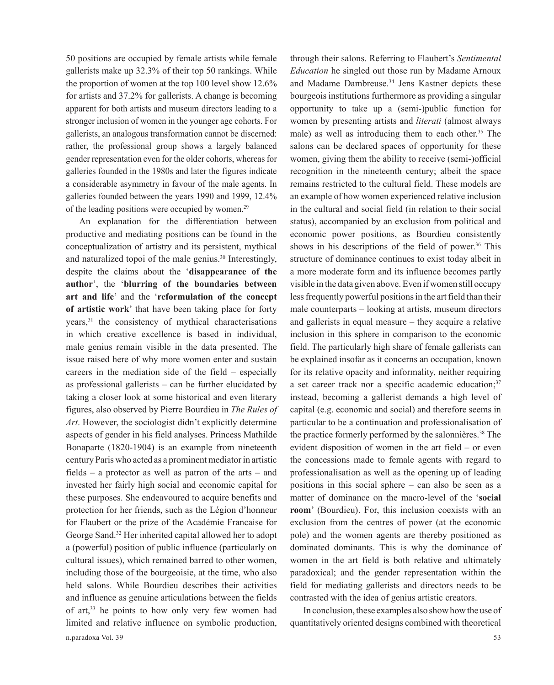50 positions are occupied by female artists while female gallerists make up 32.3% of their top 50 rankings. While the proportion of women at the top 100 level show 12.6% for artists and 37.2% for gallerists. A change is becoming apparent for both artists and museum directors leading to a stronger inclusion of women in the younger age cohorts. For gallerists, an analogous transformation cannot be discerned: rather, the professional group shows a largely balanced gender representation even for the older cohorts, whereas for galleries founded in the 1980s and later the figures indicate a considerable asymmetry in favour of the male agents. In galleries founded between the years 1990 and 1999, 12.4% of the leading positions were occupied by women.29

n.paradoxa Vol. 39 53 An explanation for the differentiation between productive and mediating positions can be found in the conceptualization of artistry and its persistent, mythical and naturalized topoi of the male genius.<sup>30</sup> Interestingly, despite the claims about the '**disappearance of the author**', the '**blurring of the boundaries between art and life**' and the '**reformulation of the concept of artistic work**' that have been taking place for forty years,<sup>31</sup> the consistency of mythical characterisations in which creative excellence is based in individual, male genius remain visible in the data presented. The issue raised here of why more women enter and sustain careers in the mediation side of the field – especially as professional gallerists – can be further elucidated by taking a closer look at some historical and even literary figures, also observed by Pierre Bourdieu in *The Rules of Art*. However, the sociologist didn't explicitly determine aspects of gender in his field analyses. Princess Mathilde Bonaparte (1820-1904) is an example from nineteenth century Paris who acted as a prominent mediator in artistic fields – a protector as well as patron of the arts – and invested her fairly high social and economic capital for these purposes. She endeavoured to acquire benefits and protection for her friends, such as the Légion d'honneur for Flaubert or the prize of the Académie Francaise for George Sand.32 Her inherited capital allowed her to adopt a (powerful) position of public influence (particularly on cultural issues), which remained barred to other women, including those of the bourgeoisie, at the time, who also held salons. While Bourdieu describes their activities and influence as genuine articulations between the fields of art,<sup>33</sup> he points to how only very few women had limited and relative influence on symbolic production,

through their salons. Referring to Flaubert's *Sentimental Education* he singled out those run by Madame Arnoux and Madame Dambreuse.<sup>34</sup> Jens Kastner depicts these bourgeois institutions furthermore as providing a singular opportunity to take up a (semi-)public function for women by presenting artists and *literati* (almost always male) as well as introducing them to each other.<sup>35</sup> The salons can be declared spaces of opportunity for these women, giving them the ability to receive (semi-)official recognition in the nineteenth century; albeit the space remains restricted to the cultural field. These models are an example of how women experienced relative inclusion in the cultural and social field (in relation to their social status), accompanied by an exclusion from political and economic power positions, as Bourdieu consistently shows in his descriptions of the field of power. $36$  This structure of dominance continues to exist today albeit in a more moderate form and its influence becomes partly visible in the data given above. Even if women still occupy less frequently powerful positions in the art field than their male counterparts – looking at artists, museum directors and gallerists in equal measure – they acquire a relative inclusion in this sphere in comparison to the economic field. The particularly high share of female gallerists can be explained insofar as it concerns an occupation, known for its relative opacity and informality, neither requiring a set career track nor a specific academic education;<sup>37</sup> instead, becoming a gallerist demands a high level of capital (e.g. economic and social) and therefore seems in particular to be a continuation and professionalisation of the practice formerly performed by the salonnières.38 The evident disposition of women in the art field – or even the concessions made to female agents with regard to professionalisation as well as the opening up of leading positions in this social sphere – can also be seen as a matter of dominance on the macro-level of the '**social room**' (Bourdieu). For, this inclusion coexists with an exclusion from the centres of power (at the economic pole) and the women agents are thereby positioned as dominated dominants. This is why the dominance of women in the art field is both relative and ultimately paradoxical; and the gender representation within the field for mediating gallerists and directors needs to be contrasted with the idea of genius artistic creators.

In conclusion, these examples also show how the use of quantitatively oriented designs combined with theoretical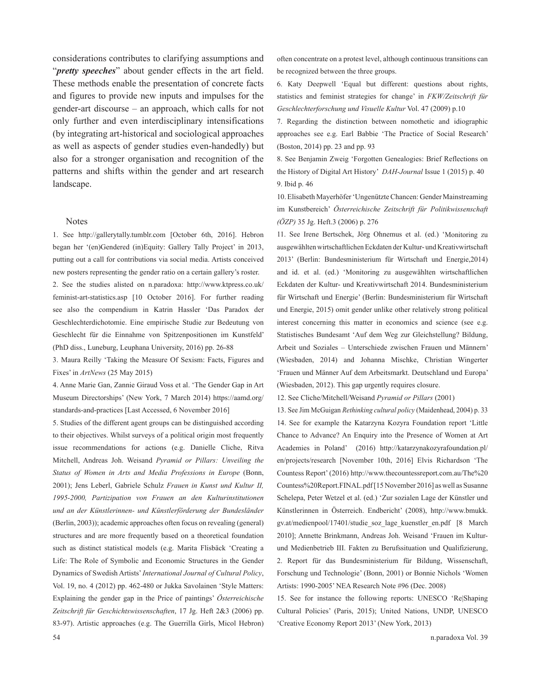considerations contributes to clarifying assumptions and "*pretty speeches*" about gender effects in the art field. These methods enable the presentation of concrete facts and figures to provide new inputs and impulses for the gender-art discourse – an approach, which calls for not only further and even interdisciplinary intensifications (by integrating art-historical and sociological approaches as well as aspects of gender studies even-handedly) but also for a stronger organisation and recognition of the patterns and shifts within the gender and art research landscape.

## **Notes**

1. See http://gallerytally.tumblr.com [October 6th, 2016]. Hebron began her '(en)Gendered (in)Equity: Gallery Tally Project' in 2013, putting out a call for contributions via social media. Artists conceived new posters representing the gender ratio on a certain gallery's roster.

2. See the studies alisted on n.paradoxa: http://www.ktpress.co.uk/ feminist-art-statistics.asp [10 October 2016]. For further reading see also the compendium in Katrin Hassler 'Das Paradox der Geschlechterdichotomie. Eine empirische Studie zur Bedeutung von Geschlecht für die Einnahme von Spitzenpositionen im Kunstfeld' (PhD diss., Luneburg, Leuphana University, 2016) pp. 26-88

3. Maura Reilly 'Taking the Measure Of Sexism: Facts, Figures and Fixes' in *ArtNews* (25 May 2015)

4. Anne Marie Gan, Zannie Giraud Voss et al. 'The Gender Gap in Art Museum Directorships' (New York, 7 March 2014) https://aamd.org/ standards-and-practices [Last Accessed, 6 November 2016]

5. Studies of the different agent groups can be distinguished according to their objectives. Whilst surveys of a political origin most frequently issue recommendations for actions (e.g. Danielle Cliche, Ritva Mitchell, Andreas Joh. Weisand *Pyramid or Pillars: Unveiling the Status of Women in Arts and Media Professions in Europe* (Bonn, 2001); Jens Leberl, Gabriele Schulz *Frauen in Kunst und Kultur II, 1995-2000, Partizipation von Frauen an den Kulturinstitutionen und an der Künstlerinnen- und Künstlerförderung der Bundesländer*  (Berlin, 2003)); academic approaches often focus on revealing (general) structures and are more frequently based on a theoretical foundation such as distinct statistical models (e.g. Marita Flisbäck 'Creating a Life: The Role of Symbolic and Economic Structures in the Gender Dynamics of Swedish Artists' *International Journal of Cultural Policy*, Vol. 19, no. 4 (2012) pp. 462-480 or Jukka Savolainen 'Style Matters: Explaining the gender gap in the Price of paintings' *Österreichische Zeitschrift für Geschichtswissenschaften*, 17 Jg. Heft 2&3 (2006) pp. 83-97). Artistic approaches (e.g. The Guerrilla Girls, Micol Hebron)

often concentrate on a protest level, although continuous transitions can be recognized between the three groups.

6. Katy Deepwell 'Equal but different: questions about rights, statistics and feminist strategies for change' in *FKW/Zeitschrift für Geschlechterforschung und Visuelle Kultur* Vol. 47 (2009) p.10

7. Regarding the distinction between nomothetic and idiographic approaches see e.g. Earl Babbie 'The Practice of Social Research' (Boston, 2014) pp. 23 and pp. 93

8. See Benjamin Zweig 'Forgotten Genealogies: Brief Reflections on the History of Digital Art History' *DAH-Journal* Issue 1 (2015) p. 40 9. Ibid p. 46

10. Elisabeth Mayerhöfer 'Ungenützte Chancen: Gender Mainstreaming im Kunstbereich' *Österreichische Zeitschrift für Politikwissenschaft (ÖZP)* 35 Jg. Heft.3 (2006) p. 276

11. See Irene Bertschek, Jörg Ohnemus et al. (ed.) 'Monitoring zu ausgewählten wirtschaftlichen Eckdaten der Kultur- und Kreativwirtschaft 2013' (Berlin: Bundesministerium für Wirtschaft und Energie,2014) and id. et al. (ed.) 'Monitoring zu ausgewählten wirtschaftlichen Eckdaten der Kultur- und Kreativwirtschaft 2014. Bundesministerium für Wirtschaft und Energie' (Berlin: Bundesministerium für Wirtschaft und Energie, 2015) omit gender unlike other relatively strong political interest concerning this matter in economics and science (see e.g. Statistisches Bundesamt 'Auf dem Weg zur Gleichstellung? Bildung, Arbeit und Soziales – Unterschiede zwischen Frauen und Männern' (Wiesbaden, 2014) and Johanna Mischke, Christian Wingerter 'Frauen und Männer Auf dem Arbeitsmarkt. Deutschland und Europa' (Wiesbaden, 2012). This gap urgently requires closure.

12. See Cliche/Mitchell/Weisand *Pyramid or Pillars* (2001)

13. See Jim McGuigan *Rethinking cultural policy* (Maidenhead, 2004) p. 33 14. See for example the Katarzyna Kozyra Foundation report 'Little Chance to Advance? An Enquiry into the Presence of Women at Art Academies in Poland' (2016) http://katarzynakozyrafoundation.pl/ en/projects/research [November 10th, 2016] Elvis Richardson 'The Countess Report' (2016) http://www.thecountessreport.com.au/The%20 Countess%20Report.FINAL.pdf [15 November 2016] as well as Susanne Schelepa, Peter Wetzel et al. (ed.) 'Zur sozialen Lage der Künstler und Künstlerinnen in Österreich. Endbericht' (2008), http://www.bmukk. gv.at/medienpool/17401/studie\_soz\_lage\_kuenstler\_en.pdf [8 March 2010]; Annette Brinkmann, Andreas Joh. Weisand 'Frauen im Kulturund Medienbetrieb III. Fakten zu Berufssituation und Qualifizierung, 2. Report für das Bundesministerium für Bildung, Wissenschaft, Forschung und Technologie' (Bonn, 2001) or Bonnie Nichols 'Women Artists: 1990-2005' NEA Research Note #96 (Dec. 2008)

15. See for instance the following reports: UNESCO 'Re|Shaping Cultural Policies' (Paris, 2015); United Nations, UNDP, UNESCO 'Creative Economy Report 2013' (New York, 2013)